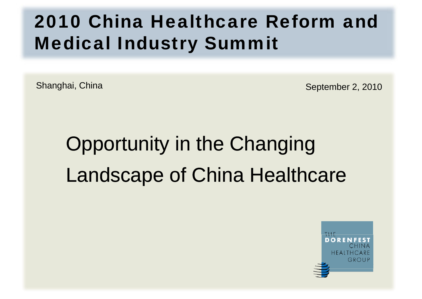## 2010 China Healthcare Reform and Medical Industry Summit

Shanghai, China September 2, 2010

# Opportunity in the Changing Landscape of China Healthcare

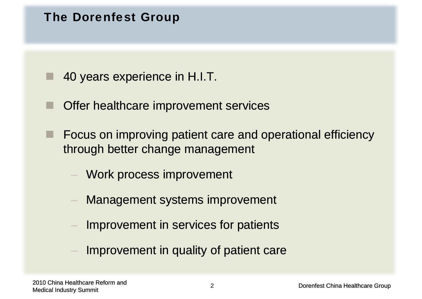#### The Dorenfest Group

40 years experience in H.I.T.

- T Offer healthcare improvement services
- Ŧ  $\blacksquare$  Focus on improving patient care and operational efficiency through better change management
	- Work process improvement
	- Management systems improvement
	- Improvement in services for patients
	- Improvement in quality of patient care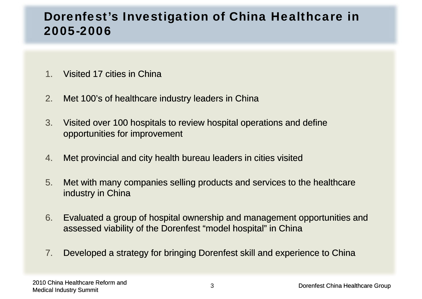### Dorenfest's Investigation of China Healthcare in 2005-2006

- 1.Visited 17 cities in China
- 2.Met 100's of healthcare industry leaders in China
- 3. Visited over 100 hospitals to review hospital operations and define opportunities for improvement
- 4.Met provincial and city health bureau leaders in cities visited
- 5. Met with many companies selling products and services to the healthcare industry in China
- 6. Evaluated a group of hospital ownership and management opportunities and assessed viability of the Dorenfest "model hospital" in China
- 7.Developed a strategy for bringing Dorenfest skill and experience to China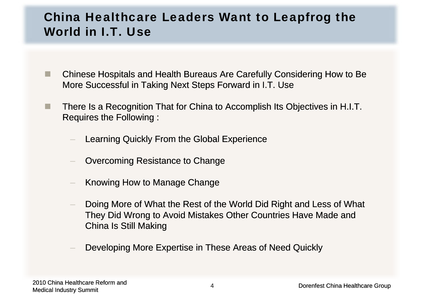### China Healthcare Leaders Want to Leapfrog the World in I.T. Use

- . Chinese Hospitals and Health Bureaus Are Carefully Considering How to Be More Successful in Taking Next Steps Forward in I.T. Use
- **The State**  There Is a Recognition That for China to Accomplish Its Objectives in H.I.T. Requires the Following :
	- Learning Quickly From the Global Experience
	- Overcoming Resistance to Change
	- Knowing How to Manage Change
	- Doing More of What the Rest of the World Did Right and Less of What They Did Wrong to Avoid Mistakes Other Countries Have Made and China Is Still Making
	- Developing More Expertise in These Areas of Need Quickly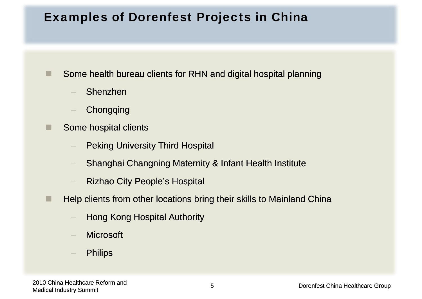#### Examples of Dorenfest Projects in China

Some health bureau clients for RHN and digital hospital planning

Shenzhen

п

- **Chongqing**
- Some hospital clients
	- Peking University Third Hospital
	- Ananghai Changning Maternity & Infant Health Institute
	- Rizhao City People's Hospital
- a se Help clients from other locations bring their skills to Mainland China
	- Hong Kong Hospital Authority
	- **Microsoft**
	- **Philips**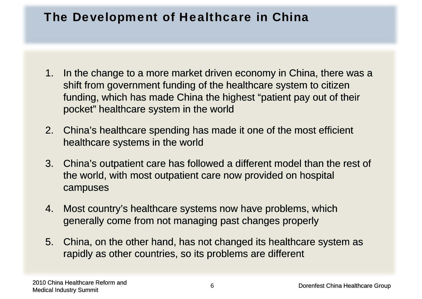#### The Development of Healthcare in China

- 1. In the change to a more market driven economy in China, there was a shift from government funding of the healthcare system to citizen funding, which has made China the highest "patient pay out of their pocket" healthcare system in the world
- 2. China's healthcare spending has made it one of the most efficient healthcare systems in the world
- 3. China's outpatient care has followed a different model than the rest of the world, with most outpatient care now provided on hospital campuses
- 4. Most country's healthcare systems now have problems, which generally come from not managing past changes properly
- 5. China, on the other hand, has not changed its healthcare system as rapidly as other countries, so its problems are different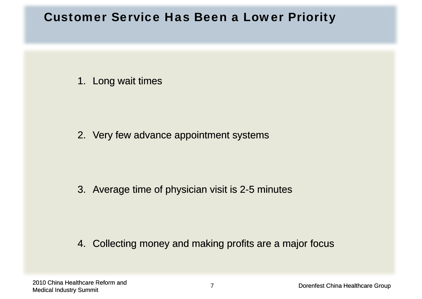#### Customer Service Has Been a Lower Priority

#### 1. Long wait times

2. Very few advance appointment systems

#### 3. Average time of physician visit is 2-5 minutes

#### 4. Collecting money and making profits are a major focus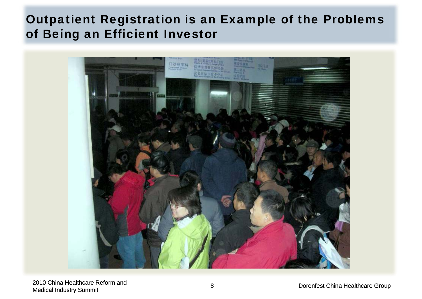### Outpatient Registration is an Example of the Problems of Being an Efficient Investor

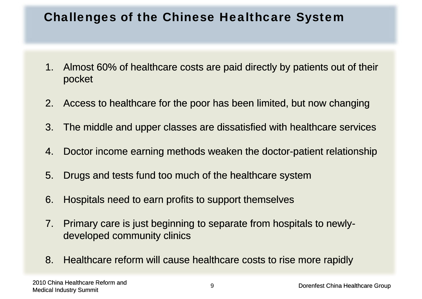#### Challenges of the Chinese Healthcare System

- 1.. Almost 60% of healthcare costs are paid directly by patients out of their pocket
- 2. Access to healthcare for the poor has been limited, but now changing
- 3. The middle and upper classes are dissatisfied with healthcare services
- 4. Doctor income earning methods weaken the doctor-patient relationship
- 5. Drugs and tests fund too much of the healthcare system
- 6. Hospitals need to earn profits to support themselves
- 7. Primary care is just beginning to separate from hospitals to newlydeveloped community clinics
- 8. Healthcare reform will cause healthcare costs to rise more rapidly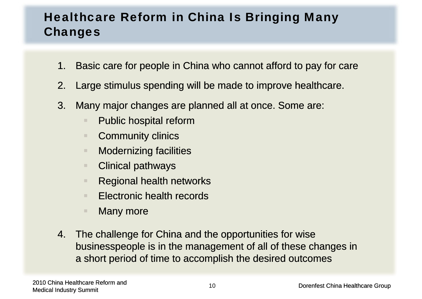## Healthcare Reform in China Is Bringing Many Changes

- 1.Basic care for people in China who cannot afford to pay for care
- 2. Large stimulus spending will be made to improve healthcare.
- 3. Many major changes are planned all at once. Some are:
	- $\blacksquare$ Public hospital reform
	- ш. **Community clinics**
	- m. Modernizing facilities
	- m. Clinical pathways
	- m. Regional health networks
	- m. Electronic health records
	- $\mathbb{R}^n$ Many more
- 4. The challenge for China and the opportunities for wise businesspeople is in the management of all of these changes in a short period of time to accomplish the desired outcomes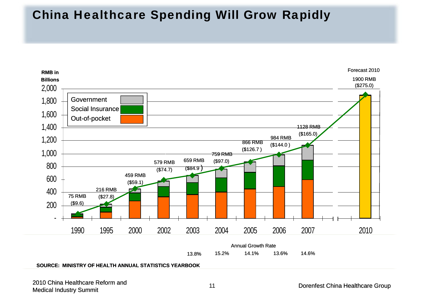#### China Healthcare Spending Will Grow Rapidly



#### **SOURCE: MINISTRY OF HEALTH ANNUAL STATISTICS YEARBOOK**

2010 China Healthcare Reform and 2010 China Healthcare Reform and the state of the state of the state of the Dorenfest China Healthcare Group<br>Medical Industry Summit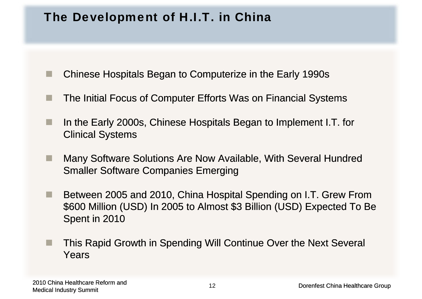#### The Development of H.I.T. in China

- ш Chinese Hospitals Began to Computerize in the Early 1990s
- The Initial Focus of Computer Efforts Was on Financial Systems
- ш In the Early 2000s, Chinese Hospitals Began to Implement I.T. for Clinical Systems
- **III**  Many Software Solutions Are Now Available, With Several Hundred Smaller Software Companies Emerging
- **Tari**  Between 2005 and 2010, China Hospital Spending on I.T. Grew From \$600 Million (USD) In 2005 to Almost \$3 Billion (USD) Expected To Be Spent in 2010
- п This Rapid Growth in Spending Will Continue Over the Next Several Years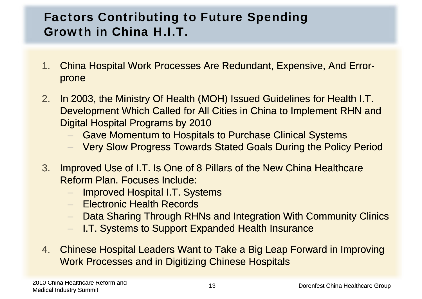## Factors Contributing to Future Spending **Growth in China H.I.T.**

- 1.. China Hospital Work Processes Are Redundant, Expensive, And Error prone
- 2.In 2003, the Ministry Of Health (MOH) Issued Guidelines for Health I.T. Development Which Called for All Cities in China to Implement RHN and Digital Hospital Programs by 2010
	- Gave Momentum to Hospitals to Purchase Clinical Systems
	- Very Slow Progress Towards Stated Goals During the Policy Period
- 3. Improved Use of I.T. Is One of 8 Pillars of the New China Healthcare Reform Plan. Focuses Include:
	- Improved Hospital I.T. Systems
	- Electronic Health Records
	- Data Sharing Through RHNs and Integration With Community Clinics
	- –I.T. Systems to Support Expanded Health Insurance
- 4. Chinese Hospital Leaders Want to Take a Big Leap Forward in Improving Work Processes and in Digitizing Chinese Hospitals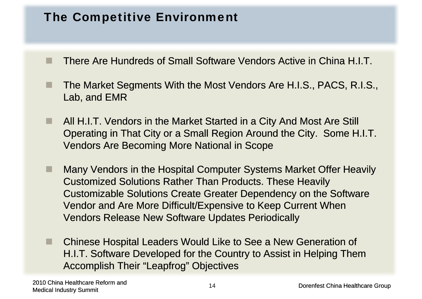#### The Competitive Environment

- There Are Hundreds of Small Software Vendors Active in China H.I.T.
- The Market Segments With the Most Vendors Are H.I.S., PACS, R.I.S., Lab, and EMR
- ٠ All H.I.T. Vendors in the Market Started in a City And Most Are Still Operating in That City or a Small Region Around the City. Some H.I.T. Vendors Are Becoming More National in Scope
- ■ Many Vendors in the Hospital Computer Systems Market Offer Heavily Customized Solutions Rather Than Products. These Heavily Customizable Solutions Create Greater Dependency on the Software Vendor and Are More Difficult/Expensive to Keep Current When Vendors Release New Software Updates Periodically
- . Chinese Hospital Leaders Would Like to See a New Generation of H.I.T. Software Developed for the Country to Assist in Helping Them Accomplish Their "Leapfrog" Objectives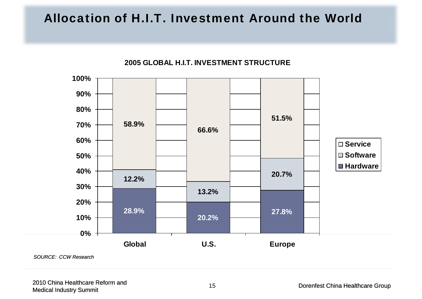### Allocation of H.I.T. Investment Around the World



**2005 GLOBAL H I T INVESTMENT STRUCTUREH.I.T.**  

*SOURCE: CCW Research*

2010 China Healthcare Reform and zutio China Healthcare Reform and<br>Medical Industry Summit 15 degree of the Medical Industry Summit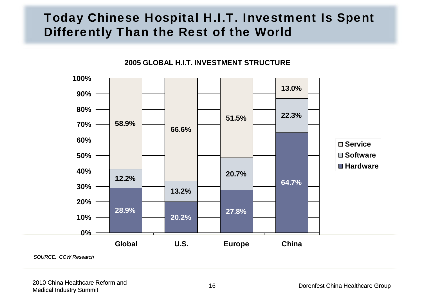### Today Chinese Hospital H.I.T. Investment Is Spent Differently Than the Rest of the World



**2005 GLOBAL H I T INVESTMENT STRUCTUREH.I.T.** 

*SOURCE: CCW Research*

2010 China Healthcare Reform and 2010 China Healthcare Reform and the state of the state of the 16 degree of the Dorenfest China Healthcare Group<br>Medical Industry Summit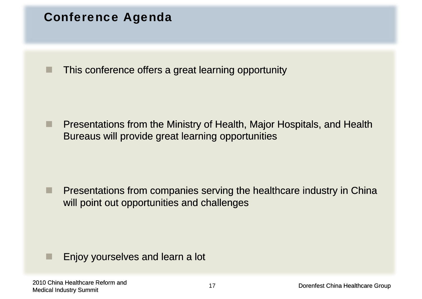#### Conference Agenda

× This conference offers a great learning opportunity

п Presentations from the Ministry of Health, Major Hospitals, and Health Bureaus will provide great learning opportunities

٠ Presentations from companies serving the healthcare industry in China will point out opportunities and challenges